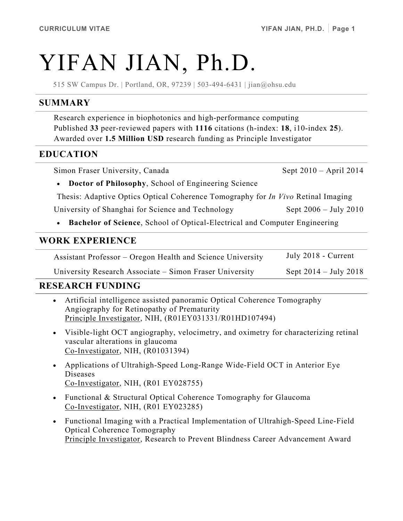# YIFAN JIAN, Ph.D.

515 SW Campus Dr. | Portland, OR, 97239 | 503-494-6431 | jian@ohsu.edu

#### **SUMMARY**

Research experience in biophotonics and high-performance computing Published **33** peer-reviewed papers with **1116** citations (h-index: **18**, i10-index **25**). Awarded over **1.5 Million USD** research funding as Principle Investigator

#### **EDUCATION**

Simon Fraser University, Canada Sept 2010 – April 2014

• **Doctor of Philosophy**, School of Engineering Science

Thesis: Adaptive Optics Optical Coherence Tomography for *In Vivo* Retinal Imaging

University of Shanghai for Science and Technology Sept 2006 – July 2010

• **Bachelor of Science**, School of Optical-Electrical and Computer Engineering

#### **WORK EXPERIENCE**

Assistant Professor – Oregon Health and Science University July 2018 - Current

University Research Associate – Simon Fraser University Sept 2014 – July 2018

## **RESEARCH FUNDING**

- Artificial intelligence assisted panoramic Optical Coherence Tomography Angiography for Retinopathy of Prematurity Principle Investigator, NIH, (R01EY031331/R01HD107494)
- Visible-light OCT angiography, velocimetry, and oximetry for characterizing retinal vascular alterations in glaucoma Co-Investigator, NIH, (R01031394)
- Applications of Ultrahigh-Speed Long-Range Wide-Field OCT in Anterior Eye Diseases Co-Investigator, NIH, (R01 EY028755)
- Functional & Structural Optical Coherence Tomography for Glaucoma Co-Investigator, NIH, (R01 EY023285)
- Functional Imaging with a Practical Implementation of Ultrahigh-Speed Line-Field Optical Coherence Tomography Principle Investigator, Research to Prevent Blindness Career Advancement Award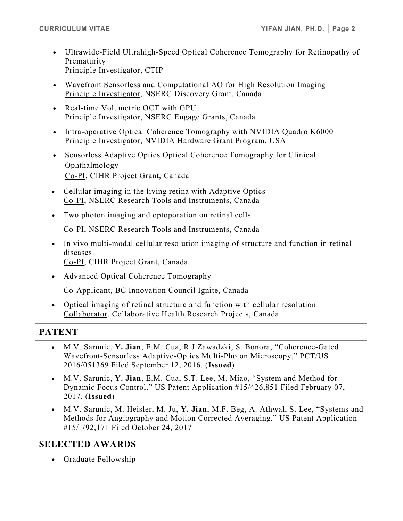- Ultrawide-Field Ultrahigh-Speed Optical Coherence Tomography for Retinopathy of Prematurity Principle Investigator, CTIP
- Wavefront Sensorless and Computational AO for High Resolution Imaging Principle Investigator, NSERC Discovery Grant, Canada
- Real-time Volumetric OCT with GPU Principle Investigator, NSERC Engage Grants, Canada
- Intra-operative Optical Coherence Tomography with NVIDIA Quadro K6000 Principle Investigator, NVIDIA Hardware Grant Program, USA
- Sensorless Adaptive Optics Optical Coherence Tomography for Clinical Ophthalmology Co-PI, CIHR Project Grant, Canada
- Cellular imaging in the living retina with Adaptive Optics Co-PI, NSERC Research Tools and Instruments, Canada
- Two photon imaging and optoporation on retinal cells

Co-PI, NSERC Research Tools and Instruments, Canada

• In vivo multi-modal cellular resolution imaging of structure and function in retinal diseases

Co-PI, CIHR Project Grant, Canada

• Advanced Optical Coherence Tomography

Co-Applicant, BC Innovation Council Ignite, Canada

• Optical imaging of retinal structure and function with cellular resolution Collaborator, Collaborative Health Research Projects, Canada

#### **PATENT**

- M.V. Sarunic, **Y. Jian**, E.M. Cua, R.J Zawadzki, S. Bonora, "Coherence-Gated Wavefront-Sensorless Adaptive-Optics Multi-Photon Microscopy," PCT/US 2016/051369 Filed September 12, 2016. (**Issued**)
- M.V. Sarunic, **Y. Jian**, E.M. Cua, S.T. Lee, M. Miao, "System and Method for Dynamic Focus Control." US Patent Application #15/426,851 Filed February 07, 2017. (**Issued**)
- M.V. Sarunic, M. Heisler, M. Ju, **Y. Jian**, M.F. Beg, A. Athwal, S. Lee, "Systems and Methods for Angiography and Motion Corrected Averaging." US Patent Application #15/ 792,171 Filed October 24, 2017

## **SELECTED AWARDS**

• Graduate Fellowship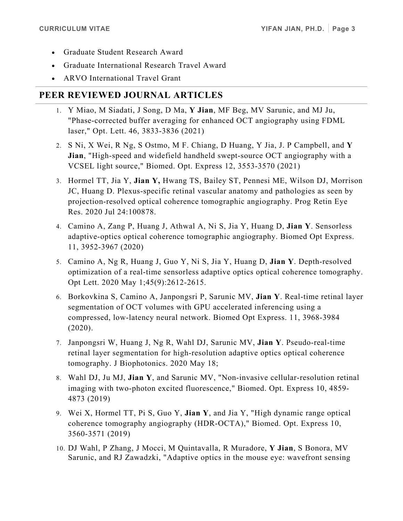- Graduate Student Research Award
- Graduate International Research Travel Award
- ARVO International Travel Grant

# **PEER REVIEWED JOURNAL ARTICLES**

- 1. Y Miao, M Siadati, J Song, D Ma, **Y Jian**, MF Beg, MV Sarunic, and MJ Ju, "Phase-corrected buffer averaging for enhanced OCT angiography using FDML laser," Opt. Lett. 46, 3833-3836 (2021)
- 2. S Ni, X Wei, R Ng, S Ostmo, M F. Chiang, D Huang, Y Jia, J. P Campbell, and **Y Jian**, "High-speed and widefield handheld swept-source OCT angiography with a VCSEL light source," Biomed. Opt. Express 12, 3553-3570 (2021)
- 3. Hormel TT, Jia Y, **Jian Y,** Hwang TS, Bailey ST, Pennesi ME, Wilson DJ, Morrison JC, Huang D. Plexus-specific retinal vascular anatomy and pathologies as seen by projection-resolved optical coherence tomographic angiography. Prog Retin Eye Res. 2020 Jul 24:100878.
- 4. Camino A, Zang P, Huang J, Athwal A, Ni S, Jia Y, Huang D, **Jian Y**. Sensorless adaptive-optics optical coherence tomographic angiography. Biomed Opt Express. 11, 3952-3967 (2020)
- 5. Camino A, Ng R, Huang J, Guo Y, Ni S, Jia Y, Huang D, **Jian Y**. Depth-resolved optimization of a real-time sensorless adaptive optics optical coherence tomography. Opt Lett. 2020 May 1;45(9):2612-2615.
- 6. Borkovkina S, Camino A, Janpongsri P, Sarunic MV, **Jian Y**. Real-time retinal layer segmentation of OCT volumes with GPU accelerated inferencing using a compressed, low-latency neural network. Biomed Opt Express. 11, 3968-3984 (2020).
- 7. Janpongsri W, Huang J, Ng R, Wahl DJ, Sarunic MV, **Jian Y**. Pseudo-real-time retinal layer segmentation for high-resolution adaptive optics optical coherence tomography. J Biophotonics. 2020 May 18;
- 8. Wahl DJ, Ju MJ, **Jian Y**, and Sarunic MV, "Non-invasive cellular-resolution retinal imaging with two-photon excited fluorescence," Biomed. Opt. Express 10, 4859- 4873 (2019)
- 9. Wei X, Hormel TT, Pi S, Guo Y, **Jian Y**, and Jia Y, "High dynamic range optical coherence tomography angiography (HDR-OCTA)," Biomed. Opt. Express 10, 3560-3571 (2019)
- 10. DJ Wahl, P Zhang, J Mocci, M Quintavalla, R Muradore, **Y Jian**, S Bonora, MV Sarunic, and RJ Zawadzki, "Adaptive optics in the mouse eye: wavefront sensing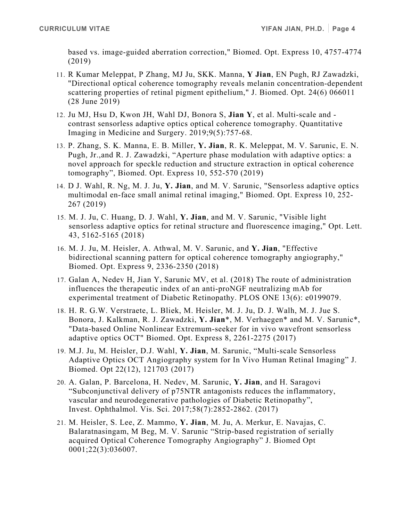based vs. image-guided aberration correction," Biomed. Opt. Express 10, 4757-4774 (2019)

- 11. R Kumar Meleppat, P Zhang, MJ Ju, SKK. Manna, **Y Jian**, EN Pugh, RJ Zawadzki, "Directional optical coherence tomography reveals melanin concentration-dependent scattering properties of retinal pigment epithelium," J. Biomed. Opt. 24(6) 066011 (28 June 2019)
- 12. Ju MJ, Hsu D, Kwon JH, Wahl DJ, Bonora S, **Jian Y**, et al. Multi-scale and contrast sensorless adaptive optics optical coherence tomography. Quantitative Imaging in Medicine and Surgery. 2019;9(5):757-68.
- 13. P. Zhang, S. K. Manna, E. B. Miller, **Y. Jian**, R. K. Meleppat, M. V. Sarunic, E. N. Pugh, Jr.,and R. J. Zawadzki, "Aperture phase modulation with adaptive optics: a novel approach for speckle reduction and structure extraction in optical coherence tomography", Biomed. Opt. Express 10, 552-570 (2019)
- 14. D J. Wahl, R. Ng, M. J. Ju, **Y. Jian**, and M. V. Sarunic, "Sensorless adaptive optics multimodal en-face small animal retinal imaging," Biomed. Opt. Express 10, 252- 267 (2019)
- 15. M. J. Ju, C. Huang, D. J. Wahl, **Y. Jian**, and M. V. Sarunic, "Visible light sensorless adaptive optics for retinal structure and fluorescence imaging," Opt. Lett. 43, 5162-5165 (2018)
- 16. M. J. Ju, M. Heisler, A. Athwal, M. V. Sarunic, and **Y. Jian**, "Effective bidirectional scanning pattern for optical coherence tomography angiography," Biomed. Opt. Express 9, 2336-2350 (2018)
- 17. Galan A, Nedev H, Jian Y, Sarunic MV, et al. (2018) The route of administration influences the therapeutic index of an anti-proNGF neutralizing mAb for experimental treatment of Diabetic Retinopathy. PLOS ONE 13(6): e0199079.
- 18. H. R. G.W. Verstraete, L. Bliek, M. Heisler, M. J. Ju, D. J. Walh, M. J. Jue S. Bonora, J. Kalkman, R. J. Zawadzki, **Y. Jian**\*, M. Verhaegen\* and M. V. Sarunic\*, "Data-based Online Nonlinear Extremum-seeker for in vivo wavefront sensorless adaptive optics OCT" Biomed. Opt. Express 8, 2261-2275 (2017)
- 19. M.J. Ju, M. Heisler, D.J. Wahl, **Y. Jian**, M. Sarunic, "Multi-scale Sensorless Adaptive Optics OCT Angiography system for In Vivo Human Retinal Imaging" J. Biomed. Opt 22(12), 121703 (2017)
- 20. A. Galan, P. Barcelona, H. Nedev, M. Sarunic, **Y. Jian**, and H. Saragovi "Subconjunctival delivery of p75NTR antagonists reduces the inflammatory, vascular and neurodegenerative pathologies of Diabetic Retinopathy", Invest. Ophthalmol. Vis. Sci. 2017;58(7):2852-2862. (2017)
- 21. M. Heisler, S. Lee, Z. Mammo, **Y. Jian**, M. Ju, A. Merkur, E. Navajas, C. Balaratnasingam, M Beg, M. V. Sarunic "Strip-based registration of serially acquired Optical Coherence Tomography Angiography" J. Biomed Opt 0001;22(3):036007.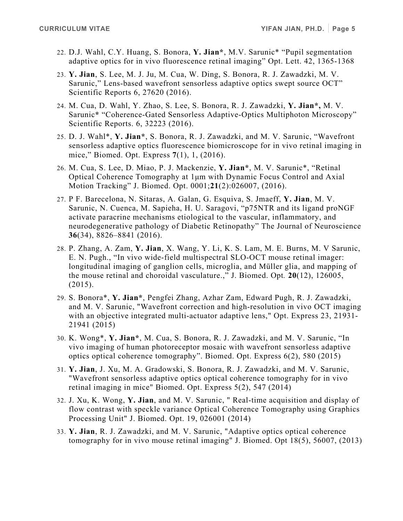- 22. D.J. Wahl, C.Y. Huang, S. Bonora, **Y. Jian\***, M.V. Sarunic\* "Pupil segmentation adaptive optics for in vivo fluorescence retinal imaging" Opt. Lett. 42, 1365-1368
- 23. **Y. Jian**, S. Lee, M. J. Ju, M. Cua, W. Ding, S. Bonora, R. J. Zawadzki, M. V. Sarunic," Lens-based wavefront sensorless adaptive optics swept source OCT" Scientific Reports 6, 27620 (2016).
- 24. M. Cua, D. Wahl, Y. Zhao, S. Lee, S. Bonora, R. J. Zawadzki, **Y. Jian\*,** M. V. Sarunic**\*** "Coherence-Gated Sensorless Adaptive-Optics Multiphoton Microscopy" Scientific Reports. 6, 32223 (2016).
- 25. D. J. Wahl\*, **Y. Jian\***, S. Bonora, R. J. Zawadzki, and M. V. Sarunic, "Wavefront sensorless adaptive optics fluorescence biomicroscope for in vivo retinal imaging in mice," Biomed. Opt. Express **7**(1), 1, (2016).
- 26. M. Cua, S. Lee, D. Miao, P. J. Mackenzie, **Y. Jian\***, M. V. Sarunic\*, "Retinal Optical Coherence Tomography at 1μm with Dynamic Focus Control and Axial Motion Tracking" J. Biomed. Opt. 0001;**21**(2):026007, (2016).
- 27. P F. Barecelona, N. Sitaras, A. Galan, G. Esquiva, S. Jmaeff, **Y. Jian**, M. V. Sarunic, N. Cuenca, M. Sapieha, H. U. Saragovi, "p75NTR and its ligand proNGF activate paracrine mechanisms etiological to the vascular, inflammatory, and neurodegenerative pathology of Diabetic Retinopathy" The Journal of Neuroscience **36**(34), 8826–8841 (2016).
- 28. P. Zhang, A. Zam, **Y. Jian**, X. Wang, Y. Li, K. S. Lam, M. E. Burns, M. V Sarunic, E. N. Pugh., "In vivo wide-field multispectral SLO-OCT mouse retinal imager: longitudinal imaging of ganglion cells, microglia, and Müller glia, and mapping of the mouse retinal and choroidal vasculature.," J. Biomed. Opt*.* **20**(12), 126005, (2015).
- 29. S. Bonora\*, **Y. Jian\***, Pengfei Zhang, Azhar Zam, Edward Pugh, R. J. Zawadzki, and M. V. Sarunic, "Wavefront correction and high-resolution in vivo OCT imaging with an objective integrated multi-actuator adaptive lens," Opt. Express 23, 21931-21941 (2015)
- 30. K. Wong\*, **Y. Jian\***, M. Cua, S. Bonora, R. J. Zawadzki, and M. V. Sarunic, "In vivo imaging of human photoreceptor mosaic with wavefront sensorless adaptive optics optical coherence tomography". Biomed. Opt. Express 6(2), 580 (2015)
- 31. **Y. Jian**, J. Xu, M. A. Gradowski, S. Bonora, R. J. Zawadzki, and M. V. Sarunic, "Wavefront sensorless adaptive optics optical coherence tomography for in vivo retinal imaging in mice" Biomed. Opt. Express 5(2), 547 (2014)
- 32. J. Xu, K. Wong, **Y. Jian**, and M. V. Sarunic, " Real-time acquisition and display of flow contrast with speckle variance Optical Coherence Tomography using Graphics Processing Unit" J. Biomed. Opt. 19, 026001 (2014)
- 33. **Y. Jian**, R. J. Zawadzki, and M. V. Sarunic, "Adaptive optics optical coherence tomography for in vivo mouse retinal imaging" J. Biomed. Opt 18(5), 56007, (2013)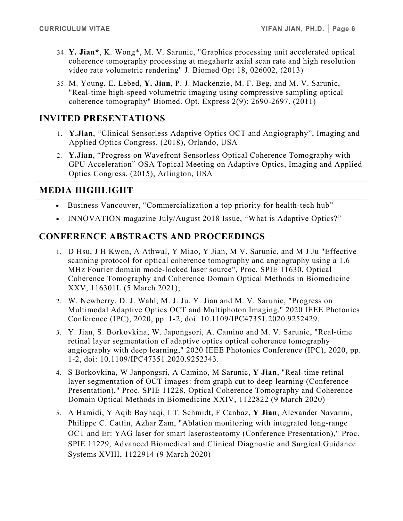- 34. **Y. Jian\***, K. Wong\*, M. V. Sarunic, "Graphics processing unit accelerated optical coherence tomography processing at megahertz axial scan rate and high resolution video rate volumetric rendering" J. Biomed Opt 18, 026002, (2013)
- 35. M. Young, E. Lebed, **Y. Jian**, P. J. Mackenzie, M. F. Beg, and M. V. Sarunic, "Real-time high-speed volumetric imaging using compressive sampling optical coherence tomography" Biomed. Opt. Express 2(9): 2690-2697. (2011)

## **INVITED PRESENTATIONS**

- 1. **Y.Jian**, "Clinical Sensorless Adaptive Optics OCT and Angiography", Imaging and Applied Optics Congress. (2018), Orlando, USA
- 2. **Y.Jian**, "Progress on Wavefront Sensorless Optical Coherence Tomography with GPU Acceleration" OSA Topical Meeting on Adaptive Optics, Imaging and Applied Optics Congress. (2015), Arlington, USA

#### **MEDIA HIGHLIGHT**

- Business Vancouver, "Commercialization a top priority for health-tech hub"
- INNOVATION magazine July/August 2018 Issue, "What is Adaptive Optics?"

## **CONFERENCE ABSTRACTS AND PROCEEDINGS**

- 1. D Hsu, J H Kwon, A Athwal, Y Miao, Y Jian, M V. Sarunic, and M J Ju "Effective scanning protocol for optical coherence tomography and angiography using a 1.6 MHz Fourier domain mode-locked laser source", Proc. SPIE 11630, Optical Coherence Tomography and Coherence Domain Optical Methods in Biomedicine XXV, 116301L (5 March 2021);
- 2. W. Newberry, D. J. Wahl, M. J. Ju, Y. Jian and M. V. Sarunic, "Progress on Multimodal Adaptive Optics OCT and Multiphoton Imaging," 2020 IEEE Photonics Conference (IPC), 2020, pp. 1-2, doi: 10.1109/IPC47351.2020.9252429.
- 3. Y. Jian, S. Borkovkina, W. Japongsori, A. Camino and M. V. Sarunic, "Real-time retinal layer segmentation of adaptive optics optical coherence tomography angiography with deep learning," 2020 IEEE Photonics Conference (IPC), 2020, pp. 1-2, doi: 10.1109/IPC47351.2020.9252343.
- 4. S Borkovkina, W Janpongsri, A Camino, M Sarunic, **Y Jian**, "Real-time retinal layer segmentation of OCT images: from graph cut to deep learning (Conference Presentation)," Proc. SPIE 11228, Optical Coherence Tomography and Coherence Domain Optical Methods in Biomedicine XXIV, 1122822 (9 March 2020)
- 5. A Hamidi, Y Aqib Bayhaqi, I T. Schmidt, F Canbaz, **Y Jian**, Alexander Navarini, Philippe C. Cattin, Azhar Zam, "Ablation monitoring with integrated long-range OCT and Er: YAG laser for smart laserosteotomy (Conference Presentation)," Proc. SPIE 11229, Advanced Biomedical and Clinical Diagnostic and Surgical Guidance Systems XVIII, 1122914 (9 March 2020)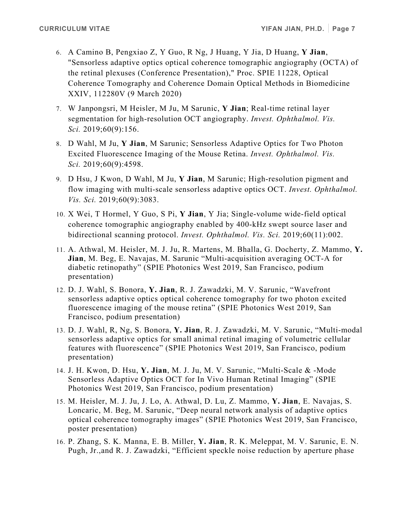- 6. A Camino B, Pengxiao Z, Y Guo, R Ng, J Huang, Y Jia, D Huang, **Y Jian**, "Sensorless adaptive optics optical coherence tomographic angiography (OCTA) of the retinal plexuses (Conference Presentation)," Proc. SPIE 11228, Optical Coherence Tomography and Coherence Domain Optical Methods in Biomedicine XXIV, 112280V (9 March 2020)
- 7. W Janpongsri, M Heisler, M Ju, M Sarunic, **Y Jian**; Real-time retinal layer segmentation for high-resolution OCT angiography. *Invest. Ophthalmol. Vis. Sci.* 2019;60(9):156.
- 8. D Wahl, M Ju, **Y Jian**, M Sarunic; Sensorless Adaptive Optics for Two Photon Excited Fluorescence Imaging of the Mouse Retina. *Invest. Ophthalmol. Vis. Sci.* 2019;60(9):4598.
- 9. D Hsu, J Kwon, D Wahl, M Ju, **Y Jian**, M Sarunic; High-resolution pigment and flow imaging with multi-scale sensorless adaptive optics OCT. *Invest. Ophthalmol. Vis. Sci.* 2019;60(9):3083.
- 10. X Wei, T Hormel, Y Guo, S Pi, **Y Jian**, Y Jia; Single-volume wide-field optical coherence tomographic angiography enabled by 400-kHz swept source laser and bidirectional scanning protocol. *Invest. Ophthalmol. Vis. Sci.* 2019;60(11):002.
- 11. A. Athwal, M. Heisler, M. J. Ju, R. Martens, M. Bhalla, G. Docherty, Z. Mammo, **Y. Jian**, M. Beg, E. Navajas, M. Sarunic "Multi-acquisition averaging OCT-A for diabetic retinopathy" (SPIE Photonics West 2019, San Francisco, podium presentation)
- 12. D. J. Wahl, S. Bonora, **Y. Jian**, R. J. Zawadzki, M. V. Sarunic, "Wavefront sensorless adaptive optics optical coherence tomography for two photon excited fluorescence imaging of the mouse retina" (SPIE Photonics West 2019, San Francisco, podium presentation)
- 13. D. J. Wahl, R, Ng, S. Bonora, **Y. Jian**, R. J. Zawadzki, M. V. Sarunic, "Multi-modal sensorless adaptive optics for small animal retinal imaging of volumetric cellular features with fluorescence" (SPIE Photonics West 2019, San Francisco, podium presentation)
- 14. J. H. Kwon, D. Hsu, **Y. Jian**, M. J. Ju, M. V. Sarunic, "Multi-Scale & -Mode Sensorless Adaptive Optics OCT for In Vivo Human Retinal Imaging" (SPIE Photonics West 2019, San Francisco, podium presentation)
- 15. M. Heisler, M. J. Ju, J. Lo, A. Athwal, D. Lu, Z. Mammo, **Y. Jian**, E. Navajas, S. Loncaric, M. Beg, M. Sarunic, "Deep neural network analysis of adaptive optics optical coherence tomography images" (SPIE Photonics West 2019, San Francisco, poster presentation)
- 16. P. Zhang, S. K. Manna, E. B. Miller, **Y. Jian**, R. K. Meleppat, M. V. Sarunic, E. N. Pugh, Jr.,and R. J. Zawadzki, "Efficient speckle noise reduction by aperture phase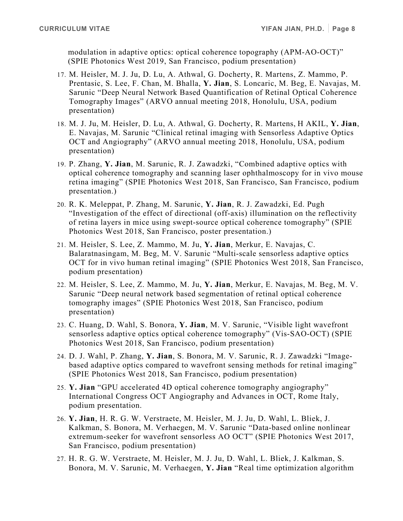modulation in adaptive optics: optical coherence topography (APM-AO-OCT)" (SPIE Photonics West 2019, San Francisco, podium presentation)

- 17. M. Heisler, M. J. Ju, D. Lu, A. Athwal, G. Docherty, R. Martens, Z. Mammo, P. Prentasic, S. Lee, F. Chan, M. Bhalla, **Y. Jian**, S. Loncaric, M. Beg, E. Navajas, M. Sarunic "Deep Neural Network Based Quantification of Retinal Optical Coherence Tomography Images" (ARVO annual meeting 2018, Honolulu, USA, podium presentation)
- 18. M. J. Ju, M. Heisler, D. Lu, A. Athwal, G. Docherty, R. Martens, H AKIL, **Y. Jian**, E. Navajas, M. Sarunic "Clinical retinal imaging with Sensorless Adaptive Optics OCT and Angiography" (ARVO annual meeting 2018, Honolulu, USA, podium presentation)
- 19. P. Zhang, **Y. Jian**, M. Sarunic, R. J. Zawadzki, "Combined adaptive optics with optical coherence tomography and scanning laser ophthalmoscopy for in vivo mouse retina imaging" (SPIE Photonics West 2018, San Francisco, San Francisco, podium presentation.)
- 20. R. K. Meleppat, P. Zhang, M. Sarunic, **Y. Jian**, R. J. Zawadzki, Ed. Pugh "Investigation of the effect of directional (off-axis) illumination on the reflectivity of retina layers in mice using swept-source optical coherence tomography" (SPIE Photonics West 2018, San Francisco, poster presentation.)
- 21. M. Heisler, S. Lee, Z. Mammo, M. Ju, **Y. Jian**, Merkur, E. Navajas, C. Balaratnasingam, M. Beg, M. V. Sarunic "Multi-scale sensorless adaptive optics OCT for in vivo human retinal imaging" (SPIE Photonics West 2018, San Francisco, podium presentation)
- 22. M. Heisler, S. Lee, Z. Mammo, M. Ju, **Y. Jian**, Merkur, E. Navajas, M. Beg, M. V. Sarunic "Deep neural network based segmentation of retinal optical coherence tomography images" (SPIE Photonics West 2018, San Francisco, podium presentation)
- 23. C. Huang, D. Wahl, S. Bonora, **Y. Jian**, M. V. Sarunic, "Visible light wavefront sensorless adaptive optics optical coherence tomography" (Vis-SAO-OCT) (SPIE Photonics West 2018, San Francisco, podium presentation)
- 24. D. J. Wahl, P. Zhang, **Y. Jian**, S. Bonora, M. V. Sarunic, R. J. Zawadzki "Imagebased adaptive optics compared to wavefront sensing methods for retinal imaging" (SPIE Photonics West 2018, San Francisco, podium presentation)
- 25. **Y. Jian** "GPU accelerated 4D optical coherence tomography angiography" International Congress OCT Angiography and Advances in OCT, Rome Italy, podium presentation.
- 26. **Y. Jian**, H. R. G. W. Verstraete, M. Heisler, M. J. Ju, D. Wahl, L. Bliek, J. Kalkman, S. Bonora, M. Verhaegen, M. V. Sarunic "Data-based online nonlinear extremum-seeker for wavefront sensorless AO OCT" (SPIE Photonics West 2017, San Francisco, podium presentation)
- 27. H. R. G. W. Verstraete, M. Heisler, M. J. Ju, D. Wahl, L. Bliek, J. Kalkman, S. Bonora, M. V. Sarunic, M. Verhaegen, **Y. Jian** "Real time optimization algorithm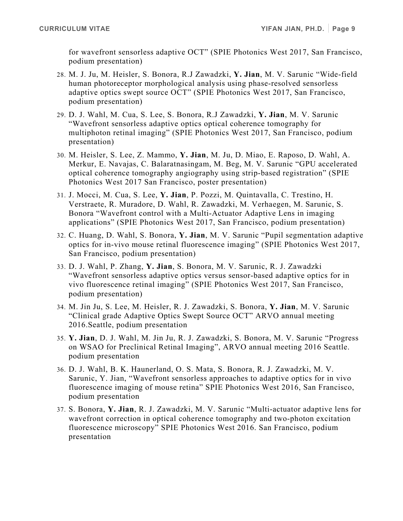for wavefront sensorless adaptive OCT" (SPIE Photonics West 2017, San Francisco, podium presentation)

- 28. M. J. Ju, M. Heisler, S. Bonora, R.J Zawadzki, **Y. Jian**, M. V. Sarunic "Wide-field human photoreceptor morphological analysis using phase-resolved sensorless adaptive optics swept source OCT" (SPIE Photonics West 2017, San Francisco, podium presentation)
- 29. D. J. Wahl, M. Cua, S. Lee, S. Bonora, R.J Zawadzki, **Y. Jian**, M. V. Sarunic "Wavefront sensorless adaptive optics optical coherence tomography for multiphoton retinal imaging" (SPIE Photonics West 2017, San Francisco, podium presentation)
- 30. M. Heisler, S. Lee, Z. Mammo, **Y. Jian**, M. Ju, D. Miao, E. Raposo, D. Wahl, A. Merkur, E. Navajas, C. Balaratnasingam, M. Beg, M. V. Sarunic "GPU accelerated optical coherence tomography angiography using strip-based registration" (SPIE Photonics West 2017 San Francisco, poster presentation)
- 31. J. Mocci, M. Cua, S. Lee, **Y. Jian**, P. Pozzi, M. Quintavalla, C. Trestino, H. Verstraete, R. Muradore, D. Wahl, R. Zawadzki, M. Verhaegen, M. Sarunic, S. Bonora "Wavefront control with a Multi-Actuator Adaptive Lens in imaging applications" (SPIE Photonics West 2017, San Francisco, podium presentation)
- 32. C. Huang, D. Wahl, S. Bonora, **Y. Jian**, M. V. Sarunic "Pupil segmentation adaptive optics for in-vivo mouse retinal fluorescence imaging" (SPIE Photonics West 2017, San Francisco, podium presentation)
- 33. D. J. Wahl, P. Zhang, **Y. Jian**, S. Bonora, M. V. Sarunic, R. J. Zawadzki "Wavefront sensorless adaptive optics versus sensor-based adaptive optics for in vivo fluorescence retinal imaging" (SPIE Photonics West 2017, San Francisco, podium presentation)
- 34. M. Jin Ju, S. Lee, M. Heisler, R. J. Zawadzki, S. Bonora, **Y. Jian**, M. V. Sarunic "Clinical grade Adaptive Optics Swept Source OCT" ARVO annual meeting 2016.Seattle, podium presentation
- 35. **Y. Jian**, D. J. Wahl, M. Jin Ju, R. J. Zawadzki, S. Bonora, M. V. Sarunic "Progress on WSAO for Preclinical Retinal Imaging", ARVO annual meeting 2016 Seattle. podium presentation
- 36. D. J. Wahl, B. K. Haunerland, O. S. Mata, S. Bonora, R. J. Zawadzki, M. V. Sarunic, Y. Jian, "Wavefront sensorless approaches to adaptive optics for in vivo fluorescence imaging of mouse retina" SPIE Photonics West 2016, San Francisco, podium presentation
- 37. S. Bonora, **Y. Jian**, R. J. Zawadzki, M. V. Sarunic "Multi-actuator adaptive lens for wavefront correction in optical coherence tomography and two-photon excitation fluorescence microscopy" SPIE Photonics West 2016. San Francisco, podium presentation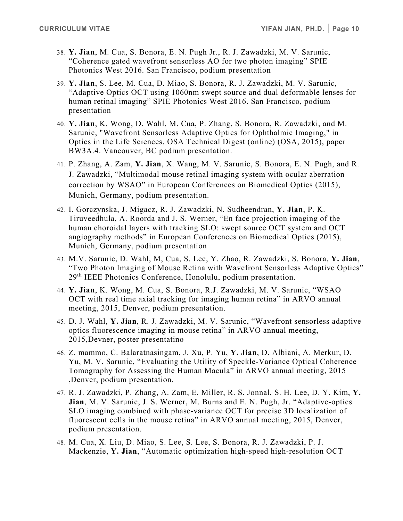- 38. **Y. Jian**, M. Cua, S. Bonora, E. N. Pugh Jr., R. J. Zawadzki, M. V. Sarunic, "Coherence gated wavefront sensorless AO for two photon imaging" SPIE Photonics West 2016. San Francisco, podium presentation
- 39. **Y. Jian**, S. Lee, M. Cua, D. Miao, S. Bonora, R. J. Zawadzki, M. V. Sarunic, "Adaptive Optics OCT using 1060nm swept source and dual deformable lenses for human retinal imaging" SPIE Photonics West 2016. San Francisco, podium presentation
- 40. **Y. Jian**, K. Wong, D. Wahl, M. Cua, P. Zhang, S. Bonora, R. Zawadzki, and M. Sarunic, "Wavefront Sensorless Adaptive Optics for Ophthalmic Imaging," in Optics in the Life Sciences, OSA Technical Digest (online) (OSA, 2015), paper BW3A.4. Vancouver, BC podium presentation.
- 41. P. Zhang, A. Zam, **Y. Jian**, X. Wang, M. V. Sarunic, S. Bonora, E. N. Pugh, and R. J. Zawadzki, "Multimodal mouse retinal imaging system with ocular aberration correction by WSAO" in European Conferences on Biomedical Optics (2015), Munich, Germany, podium presentation.
- 42. I. Gorczynska, J. Migacz, R. J. Zawadzki, N. Sudheendran, **Y. Jian**, P. K. Tiruveedhula, A. Roorda and J. S. Werner, "En face projection imaging of the human choroidal layers with tracking SLO: swept source OCT system and OCT angiography methods" in European Conferences on Biomedical Optics (2015), Munich, Germany, podium presentation
- 43. M.V. Sarunic, D. Wahl, M, Cua, S. Lee, Y. Zhao, R. Zawadzki, S. Bonora, **Y. Jian**, "Two Photon Imaging of Mouse Retina with Wavefront Sensorless Adaptive Optics" 29<sup>th</sup> IEEE Photonics Conference, Honolulu, podium presentation.
- 44. **Y. Jian**, K. Wong, M. Cua, S. Bonora, R.J. Zawadzki, M. V. Sarunic, "WSAO OCT with real time axial tracking for imaging human retina" in ARVO annual meeting, 2015, Denver, podium presentation.
- 45. D. J. Wahl, **Y. Jian**, R. J. Zawadzki, M. V. Sarunic, "Wavefront sensorless adaptive optics fluorescence imaging in mouse retina" in ARVO annual meeting, 2015,Devner, poster presentatino
- 46. Z. mammo, C. Balaratnasingam, J. Xu, P. Yu, **Y. Jian**, D. Albiani, A. Merkur, D. Yu, M. V. Sarunic, "Evaluating the Utility of Speckle-Variance Optical Coherence Tomography for Assessing the Human Macula" in ARVO annual meeting, 2015 ,Denver, podium presentation.
- 47. R. J. Zawadzki, P. Zhang, A. Zam, E. Miller, R. S. Jonnal, S. H. Lee, D. Y. Kim, **Y. Jian**, M. V. Sarunic, J. S. Werner, M. Burns and E. N. Pugh, Jr. "Adaptive-optics SLO imaging combined with phase-variance OCT for precise 3D localization of fluorescent cells in the mouse retina" in ARVO annual meeting, 2015, Denver, podium presentation.
- 48. M. Cua, X. Liu, D. Miao, S. Lee, S. Lee, S. Bonora, R. J. Zawadzki, P. J. Mackenzie, **Y. Jian**, "Automatic optimization high-speed high-resolution OCT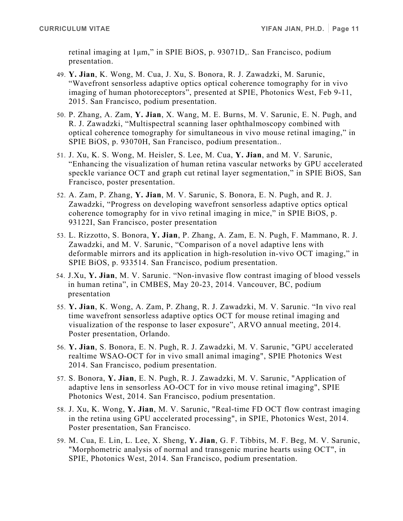retinal imaging at 1μm," in SPIE BiOS, p. 93071D,. San Francisco, podium presentation.

- 49. **Y. Jian**, K. Wong, M. Cua, J. Xu, S. Bonora, R. J. Zawadzki, M. Sarunic, "Wavefront sensorless adaptive optics optical coherence tomography for in vivo imaging of human photoreceptors", presented at SPIE, Photonics West, Feb 9-11, 2015. San Francisco, podium presentation.
- 50. P. Zhang, A. Zam, **Y. Jian**, X. Wang, M. E. Burns, M. V. Sarunic, E. N. Pugh, and R. J. Zawadzki, "Multispectral scanning laser ophthalmoscopy combined with optical coherence tomography for simultaneous in vivo mouse retinal imaging," in SPIE BiOS, p. 93070H, San Francisco, podium presentation..
- 51. J. Xu, K. S. Wong, M. Heisler, S. Lee, M. Cua, **Y. Jian**, and M. V. Sarunic, "Enhancing the visualization of human retina vascular networks by GPU accelerated speckle variance OCT and graph cut retinal layer segmentation," in SPIE BiOS, San Francisco, poster presentation.
- 52. A. Zam, P. Zhang, **Y. Jian**, M. V. Sarunic, S. Bonora, E. N. Pugh, and R. J. Zawadzki, "Progress on developing wavefront sensorless adaptive optics optical coherence tomography for in vivo retinal imaging in mice," in SPIE BiOS, p. 93122I, San Francisco, poster presentation
- 53. L. Rizzotto, S. Bonora, **Y. Jian**, P. Zhang, A. Zam, E. N. Pugh, F. Mammano, R. J. Zawadzki, and M. V. Sarunic, "Comparison of a novel adaptive lens with deformable mirrors and its application in high-resolution in-vivo OCT imaging," in SPIE BiOS, p. 933514. San Francisco, podium presentation.
- 54. J.Xu, **Y. Jian**, M. V. Sarunic. "Non-invasive flow contrast imaging of blood vessels in human retina", in CMBES, May 20-23, 2014. Vancouver, BC, podium presentation
- 55. **Y. Jian**, K. Wong, A. Zam, P. Zhang, R. J. Zawadzki, M. V. Sarunic. "In vivo real time wavefront sensorless adaptive optics OCT for mouse retinal imaging and visualization of the response to laser exposure", ARVO annual meeting, 2014. Poster presentation, Orlando.
- 56. **Y. Jian**, S. Bonora, E. N. Pugh, R. J. Zawadzki, M. V. Sarunic, "GPU accelerated realtime WSAO-OCT for in vivo small animal imaging", SPIE Photonics West 2014. San Francisco, podium presentation.
- 57. S. Bonora, **Y. Jian**, E. N. Pugh, R. J. Zawadzki, M. V. Sarunic, "Application of adaptive lens in sensorless AO-OCT for in vivo mouse retinal imaging", SPIE Photonics West, 2014. San Francisco, podium presentation.
- 58. J. Xu, K. Wong, **Y. Jian**, M. V. Sarunic, "Real-time FD OCT flow contrast imaging in the retina using GPU accelerated processing", in SPIE, Photonics West, 2014. Poster presentation, San Francisco.
- 59. M. Cua, E. Lin, L. Lee, X. Sheng, **Y. Jian**, G. F. Tibbits, M. F. Beg, M. V. Sarunic, "Morphometric analysis of normal and transgenic murine hearts using OCT", in SPIE, Photonics West, 2014. San Francisco, podium presentation.